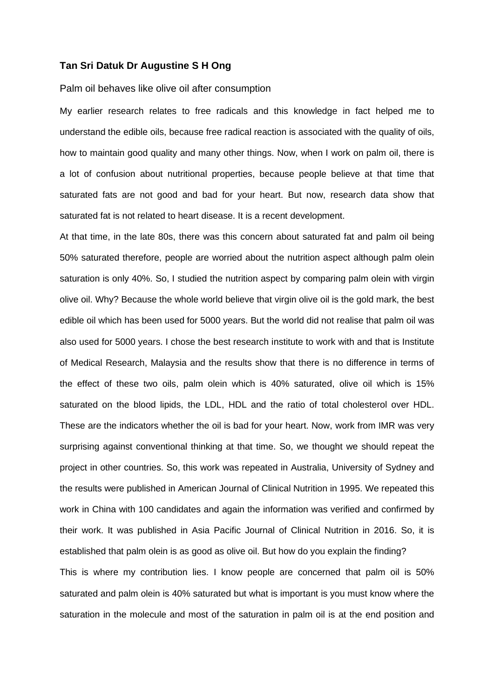## **Tan Sri Datuk Dr Augustine S H Ong**

## Palm oil behaves like olive oil after consumption

My earlier research relates to free radicals and this knowledge in fact helped me to understand the edible oils, because free radical reaction is associated with the quality of oils, how to maintain good quality and many other things. Now, when I work on palm oil, there is a lot of confusion about nutritional properties, because people believe at that time that saturated fats are not good and bad for your heart. But now, research data show that saturated fat is not related to heart disease. It is a recent development.

At that time, in the late 80s, there was this concern about saturated fat and palm oil being 50% saturated therefore, people are worried about the nutrition aspect although palm olein saturation is only 40%. So, I studied the nutrition aspect by comparing palm olein with virgin olive oil. Why? Because the whole world believe that virgin olive oil is the gold mark, the best edible oil which has been used for 5000 years. But the world did not realise that palm oil was also used for 5000 years. I chose the best research institute to work with and that is Institute of Medical Research, Malaysia and the results show that there is no difference in terms of the effect of these two oils, palm olein which is 40% saturated, olive oil which is 15% saturated on the blood lipids, the LDL, HDL and the ratio of total cholesterol over HDL. These are the indicators whether the oil is bad for your heart. Now, work from IMR was very surprising against conventional thinking at that time. So, we thought we should repeat the project in other countries. So, this work was repeated in Australia, University of Sydney and the results were published in American Journal of Clinical Nutrition in 1995. We repeated this work in China with 100 candidates and again the information was verified and confirmed by their work. It was published in Asia Pacific Journal of Clinical Nutrition in 2016. So, it is established that palm olein is as good as olive oil. But how do you explain the finding? This is where my contribution lies. I know people are concerned that palm oil is 50% saturated and palm olein is 40% saturated but what is important is you must know where the saturation in the molecule and most of the saturation in palm oil is at the end position and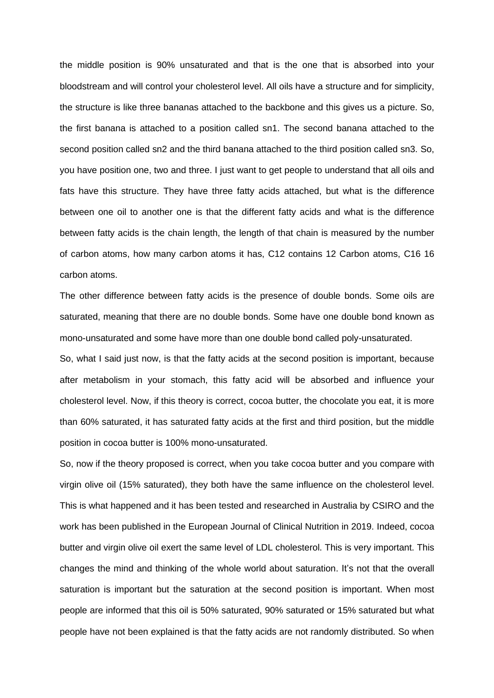the middle position is 90% unsaturated and that is the one that is absorbed into your bloodstream and will control your cholesterol level. All oils have a structure and for simplicity, the structure is like three bananas attached to the backbone and this gives us a picture. So, the first banana is attached to a position called sn1. The second banana attached to the second position called sn2 and the third banana attached to the third position called sn3. So, you have position one, two and three. I just want to get people to understand that all oils and fats have this structure. They have three fatty acids attached, but what is the difference between one oil to another one is that the different fatty acids and what is the difference between fatty acids is the chain length, the length of that chain is measured by the number of carbon atoms, how many carbon atoms it has, C12 contains 12 Carbon atoms, C16 16 carbon atoms.

The other difference between fatty acids is the presence of double bonds. Some oils are saturated, meaning that there are no double bonds. Some have one double bond known as mono-unsaturated and some have more than one double bond called poly-unsaturated.

So, what I said just now, is that the fatty acids at the second position is important, because after metabolism in your stomach, this fatty acid will be absorbed and influence your cholesterol level. Now, if this theory is correct, cocoa butter, the chocolate you eat, it is more than 60% saturated, it has saturated fatty acids at the first and third position, but the middle position in cocoa butter is 100% mono-unsaturated.

So, now if the theory proposed is correct, when you take cocoa butter and you compare with virgin olive oil (15% saturated), they both have the same influence on the cholesterol level. This is what happened and it has been tested and researched in Australia by CSIRO and the work has been published in the European Journal of Clinical Nutrition in 2019. Indeed, cocoa butter and virgin olive oil exert the same level of LDL cholesterol. This is very important. This changes the mind and thinking of the whole world about saturation. It's not that the overall saturation is important but the saturation at the second position is important. When most people are informed that this oil is 50% saturated, 90% saturated or 15% saturated but what people have not been explained is that the fatty acids are not randomly distributed. So when